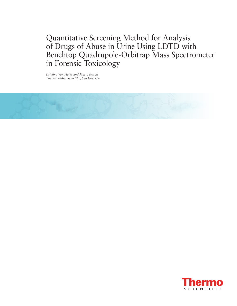Quantitative Screening Method for Analysis of Drugs of Abuse in Urine Using LDTD with Benchtop Quadrupole-Orbitrap Mass Spectrometer in Forensic Toxicology

*Kristine Van Natta and Marta Kozak Thermo Fisher Scientific, San Jose, CA*



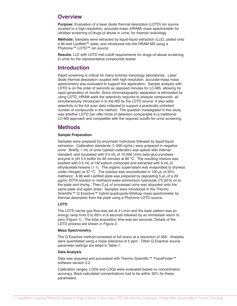### **Overview**

**Purpose:** Evaluation of a laser diode thermal desorption (LDTD) ion source coupled to a high-resolution, accurate-mass (HRAM) mass spectrometer for ultrafast screening of drugs of abuse in urine, for forensic toxicology.

**Methods:** Samples were extracted by liquid-liquid extraction (LLE), plated onto a 96 well LazWell™ plate, and introduced into the HRAM MS using a Phytronix™ LDTD™ ion source.

**Results:** LLE with LDTD met cutoff requirements for drugs-of-abuse screening in urine for the representative compounds tested.

### **Introduction**

Rapid screening is critical for many forensic toxicology laboratories. Laser diode thermal desorption coupled with high-resolution, accurate-mass mass spectrometry was evaluated to support this application. Sample analysis with LDTD is on the order of seconds as opposed minutes for LC-MS, allowing for rapid generation of results. Since chromatographic separation is eliminated by using LDTD, HRAM adds the selectivity required to analyze compounds all simultaneously introduced in to the MS by the LDTD source. It also adds selectivity to the full scan data collected to support a practically unlimited number of compounds in the method. The question investigated in this study was whether LDTD can offer limits of detection comparable to a traditional LC-MS approach and compatible with the required cutoffs for urine screening.

## **Methods**

### **Sample Preparation**

Samples were prepared by enzymatic hydrolysis followed by liquid-liquid extraction. Calibration standards (1-500 ng/mL) were prepared in negative urine. Briefly, 1 mL of urine (spiked calibrator) was spiked with internal standard, and incubated with 0.5 mL of 10,000 U/mL beta-glucuronidase enzyme in pH 5.5 buffer for 60 minutes at 60 °C. The resulting mixture was basified with 0.5 mL of 1M sodium carbonate and extracted with 6 mL of ethylacetate:hexane (1:1). The organic supernatant was evaporated to dryness under nitrogen at 37 °C. The residue was reconstituted in 100  $\mu$ L of 50% methanol. A 96 well LazWell plate was prepared by depositing 5  $\mu$ L of a 20 µg/mL EDTA solution in methanol:water:ammonium hydroxide (75:20:5) on to the plate and drying. Then  $2 \mu L$  of processed urine was aliquoted onto the same plate and again dried. Samples were introduced in the Thermo Scientific™ Q Exactive™ hybrid quadrupole-Orbitrap mass spectrometer by thermal desorption from the plate using a Phytronix LDTD source.

### **LDTD**

The LDTD carrier gas flow was set at 3 L/min and the laser pattern was an energy ramp from 0 to 65% in 6 seconds followed by an immediate return to zero (Figure 1). The total acquisition time was ten seconds. Details of the LDTD process are shown in Figure 2.

#### **Mass Spectrometry**

The Q Exactive method consisted of full scans at a resolution of 35K. Analytes were quantitated using a mass tolerance of 5 ppm. Other Q Exactive source parameter settings are listed in Table 1.

#### **Data Analysis**

Data was acquired and processed with Thermo Scientific™ TraceFinder™ software version 3.2.

Calibration ranges, LODs and LOQs were evaluated based on concentration accuracy. Back-calculated concentrations had to be within 30% for these parameters.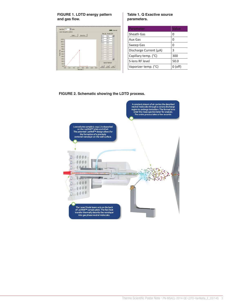#### **FIGURE 1. LDTD energy pattern and gas flow.**

| Gas Flow $\boxed{3.0 \quad \frac{1}{24}}$ L/min<br>Laser desorption pattern             | <b>Exam Unsaved</b>                                                                                                                                                                                                                                                                                                                                                                                                                   | arameter                             | <b>Value</b> |
|-----------------------------------------------------------------------------------------|---------------------------------------------------------------------------------------------------------------------------------------------------------------------------------------------------------------------------------------------------------------------------------------------------------------------------------------------------------------------------------------------------------------------------------------|--------------------------------------|--------------|
| $\begin{tabular}{ c c } \hline \textbf{Open} & \textbf{Save As} \\\hline \end{tabular}$ |                                                                                                                                                                                                                                                                                                                                                                                                                                       | Sheath Gas                           |              |
| $110.0 -$<br>$100.0 -$                                                                  |                                                                                                                                                                                                                                                                                                                                                                                                                                       | Aux Gas                              |              |
| 90.0 <sub>1</sub><br>80.0 <sub>1</sub>                                                  |                                                                                                                                                                                                                                                                                                                                                                                                                                       | Sweep Gas                            |              |
| $\sum 60.0 -$                                                                           |                                                                                                                                                                                                                                                                                                                                                                                                                                       | $\vert$ Discharge Current ( $\mu$ A) |              |
| \$50.0 <sub>5</sub><br>$40.0 -$                                                         | $\begin{array}{ l l } \hline \text{Time (5)} & \text{Power (8)} \\ \hline 0.5 & \boxed{0.0} & \boxed{\triangleleft} \\ \hline 6.5 & \boxed{6.0} & \boxed{\triangleleft} \\ \hline 6.6 & \boxed{0.0} & \boxed{0.0} \\ \hline 10.0 & \boxed{0.0} & \boxed{0.0} \\ \hline 0.0 & \boxed{0.0} & \boxed{0.0} \\ \hline 0.0 & \boxed{0.0} & \boxed{0.0} \\ \hline 0.0 & \boxed{0.0} & \boxed{0.0} \\ \hline 0.0 & \boxed{0.0} & \boxed{0.0}$ | Capillary temp. (°C)                 | 300          |
| $30.0 -$<br>$20.0 -$<br>10.0 <sup>1</sup>                                               | Quick Pattern                                                                                                                                                                                                                                                                                                                                                                                                                         | S-lens RF level                      | 50.0         |
| $0.0$ 2.0 4.0 6.0 8.0 10.0 12.0 14.0                                                    | $1-25$ $1-40$ $1-60$<br>Time (sec.)                                                                                                                                                                                                                                                                                                                                                                                                   | Vaporizer temp. (°C)                 | $0($ off $)$ |

energy ramp from 0 to 65% in 6 seconds followed by an immediate return to

#### **Table 1. Q Exactive source parameters.**

| <b>Parameter</b>       | <b>Value</b> |
|------------------------|--------------|
| Sheath Gas             | 0            |
| Aux Gas                | 0            |
| Sweep Gas              | 0            |
| Discharge Current (µA) | 3            |
| Capillary temp. (°C)   | 300          |
| S-lens RF level        | 50.0         |
| Vaporizer temp. (°C)   | $($ off $)$  |

### **FIGURE 2. Schematic showing the LDTD process.**

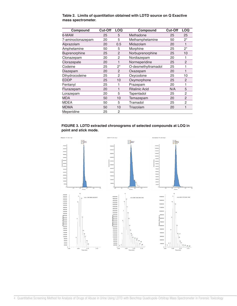| Compound          | <b>Cut-Off</b> | <b>LOQ</b>     | Compound              | <b>Cut-Off</b> | <b>LOQ</b>     |
|-------------------|----------------|----------------|-----------------------|----------------|----------------|
| 6-MAM             | 25             | 5              | Methadone             | 25             | 25             |
| 7-aminoclonazepam | 20             | 5              | Methamphetamine       | 50             | $2^*$          |
| Alprazolam        | 20             | 0.5            | Midazolam             | 20             | 1              |
| Amphetamine       | 50             | 5              | Morphine              | 25             | $2^*$          |
| Buprenorphine     | 25             | 2              | Norbuprenorphine      | 25             | 10             |
| Clonazepam        | 20             | $\overline{c}$ | Nordiazepam           | 20             |                |
| Clorazepate       | 20             | 1              | Normeperidine         | 25             | $\overline{2}$ |
| Codeine           | 25             | 2*             | O-desmethyltramadol   | 25             | 1              |
| Diazepam          | 20             | $\overline{2}$ | Oxazepam              | 20             |                |
| Dihydrocodeine    | 25             | $\overline{c}$ | Oxycodone             | 25             | 10             |
| EDDP              | 25             | 10             | Oxymorphone           | 25             | 2              |
| Fentanyl          | 25             | 1              | Prazepam              | 20             | 1              |
| Flurazepam        | 20             | 1              | <b>Ritalinic Acid</b> | N/A            | 5              |
| Lorazepam         | 20             | 5              | Tapentadol            | 25             | $\overline{c}$ |
| <b>MDA</b>        | 50             | 10             | Temazepam             | 20             | 2              |
| MDEA              | 50             | 5              | Tramadol              | 25             | $\overline{c}$ |
| MDMA              | 50             | 10             | Triazolam             | 20             | 1              |
| Meperidine        | 25             | 2              |                       |                |                |

**Table 2. Limits of quantitation obtained with LDTD source on Q Exactive mass spectrometer.**



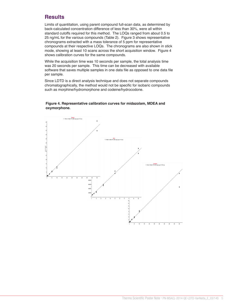# **FIGURE 2. Schematic showing the LDTD process. Results**

Limits of quantitation, using parent compound full-scan data, as determined by back-calculated concentration difference of less than 30%, were all within standard cutoffs required for this method. The LOQs ranged from about 0.5 to 25 ng/mL for the various compounds (Table 2). Figure 3 shows representative chronograms extracted with a mass tolerance of 5 ppm for representative compounds at their respective LOQs. The chronograms are also shown in stick mode, showing at least 10 scans across the short acquisition window. Figure 4 shows calibration curves for the same compounds.

While the acquisition time was 10 seconds per sample, the total analysis time was 20 seconds per sample. This time can be decreased with available software that saves multiple samples in one data file as opposed to one data file per sample.

Since LDTD is a direct analysis technique and does not separate compounds chromatographically, the method would not be specific for isobaric compounds such as morphine/hydromorphone and codeine/hydrocodone.



We would like to thank Dr. Pierre Picard, Vice President of R&D at Phytronix at Phytronix at Phytronix at Phyt

#### **Figure 4. Representative calibration curves for midazolam, MDEA and oxymorphone.**